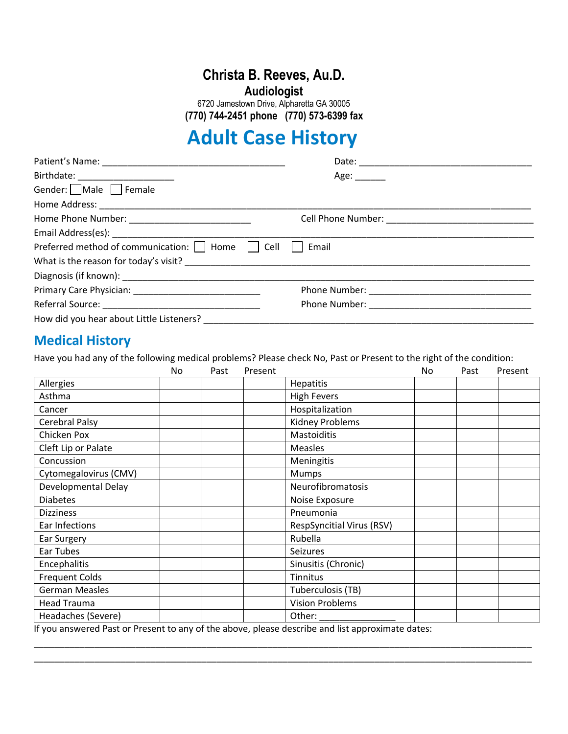# **Christa B. Reeves, Au.D.**

**Audiologist**

6720 Jamestown Drive, Alpharetta GA 30005  **(770) 744-2451 phone (770) 573-6399 fax**

# **Adult Case History**

| Birthdate: _______________________                   | Age:  |  |
|------------------------------------------------------|-------|--|
| Gender: Male Female                                  |       |  |
|                                                      |       |  |
| Home Phone Number: _______________________________   |       |  |
|                                                      |       |  |
| Preferred method of communication:     Home     Cell | Email |  |
|                                                      |       |  |
|                                                      |       |  |
|                                                      |       |  |
|                                                      |       |  |
| How did you hear about Little Listeners?             |       |  |

# **Medical History**

Have you had any of the following medical problems? Please check No, Past or Present to the right of the condition:

|                                                                                                                                                                                                                                                                                                                | No | Past | Present |                                                                                                                                                                                                                                                                                          | No | Past | Present |
|----------------------------------------------------------------------------------------------------------------------------------------------------------------------------------------------------------------------------------------------------------------------------------------------------------------|----|------|---------|------------------------------------------------------------------------------------------------------------------------------------------------------------------------------------------------------------------------------------------------------------------------------------------|----|------|---------|
| Allergies                                                                                                                                                                                                                                                                                                      |    |      |         | <b>Hepatitis</b>                                                                                                                                                                                                                                                                         |    |      |         |
| Asthma                                                                                                                                                                                                                                                                                                         |    |      |         | <b>High Fevers</b>                                                                                                                                                                                                                                                                       |    |      |         |
| Cancer                                                                                                                                                                                                                                                                                                         |    |      |         | Hospitalization                                                                                                                                                                                                                                                                          |    |      |         |
| Cerebral Palsy                                                                                                                                                                                                                                                                                                 |    |      |         | Kidney Problems                                                                                                                                                                                                                                                                          |    |      |         |
| Chicken Pox                                                                                                                                                                                                                                                                                                    |    |      |         | Mastoiditis                                                                                                                                                                                                                                                                              |    |      |         |
| Cleft Lip or Palate                                                                                                                                                                                                                                                                                            |    |      |         | <b>Measles</b>                                                                                                                                                                                                                                                                           |    |      |         |
| Concussion                                                                                                                                                                                                                                                                                                     |    |      |         | Meningitis                                                                                                                                                                                                                                                                               |    |      |         |
| Cytomegalovirus (CMV)                                                                                                                                                                                                                                                                                          |    |      |         | Mumps                                                                                                                                                                                                                                                                                    |    |      |         |
| Developmental Delay                                                                                                                                                                                                                                                                                            |    |      |         | Neurofibromatosis                                                                                                                                                                                                                                                                        |    |      |         |
| <b>Diabetes</b>                                                                                                                                                                                                                                                                                                |    |      |         | Noise Exposure                                                                                                                                                                                                                                                                           |    |      |         |
| <b>Dizziness</b>                                                                                                                                                                                                                                                                                               |    |      |         | Pneumonia                                                                                                                                                                                                                                                                                |    |      |         |
| Ear Infections                                                                                                                                                                                                                                                                                                 |    |      |         | <b>RespSyncitial Virus (RSV)</b>                                                                                                                                                                                                                                                         |    |      |         |
| Ear Surgery                                                                                                                                                                                                                                                                                                    |    |      |         | Rubella                                                                                                                                                                                                                                                                                  |    |      |         |
| Ear Tubes                                                                                                                                                                                                                                                                                                      |    |      |         | <b>Seizures</b>                                                                                                                                                                                                                                                                          |    |      |         |
| Encephalitis                                                                                                                                                                                                                                                                                                   |    |      |         | Sinusitis (Chronic)                                                                                                                                                                                                                                                                      |    |      |         |
| <b>Frequent Colds</b>                                                                                                                                                                                                                                                                                          |    |      |         | <b>Tinnitus</b>                                                                                                                                                                                                                                                                          |    |      |         |
| <b>German Measles</b>                                                                                                                                                                                                                                                                                          |    |      |         | Tuberculosis (TB)                                                                                                                                                                                                                                                                        |    |      |         |
| <b>Head Trauma</b>                                                                                                                                                                                                                                                                                             |    |      |         | <b>Vision Problems</b>                                                                                                                                                                                                                                                                   |    |      |         |
| Headaches (Severe)<br>$\mathbf{r}$ , and $\mathbf{r}$ , and $\mathbf{r}$ , and $\mathbf{r}$ , and $\mathbf{r}$ , and $\mathbf{r}$ , and $\mathbf{r}$ , and $\mathbf{r}$ , and $\mathbf{r}$ , and $\mathbf{r}$ , and $\mathbf{r}$ , and $\mathbf{r}$ , and $\mathbf{r}$ , and $\mathbf{r}$ , and $\mathbf{r}$ , |    |      |         | Other:<br>$\mathcal{L}$ and the contract of the contract of the contract of the contract of the contract of the contract of the contract of the contract of the contract of the contract of the contract of the contract of the contract of<br>$\sim$ $\sim$ $\sim$ $\sim$ $\sim$ $\sim$ |    |      |         |

\_\_\_\_\_\_\_\_\_\_\_\_\_\_\_\_\_\_\_\_\_\_\_\_\_\_\_\_\_\_\_\_\_\_\_\_\_\_\_\_\_\_\_\_\_\_\_\_\_\_\_\_\_\_\_\_\_\_\_\_\_\_\_\_\_\_\_\_\_\_\_\_\_\_\_\_\_\_\_\_\_\_\_\_\_\_\_\_\_\_\_\_\_\_\_\_\_\_ \_\_\_\_\_\_\_\_\_\_\_\_\_\_\_\_\_\_\_\_\_\_\_\_\_\_\_\_\_\_\_\_\_\_\_\_\_\_\_\_\_\_\_\_\_\_\_\_\_\_\_\_\_\_\_\_\_\_\_\_\_\_\_\_\_\_\_\_\_\_\_\_\_\_\_\_\_\_\_\_\_\_\_\_\_\_\_\_\_\_\_\_\_\_\_\_\_\_

If you answered Past or Present to any of the above, please describe and list approximate dates: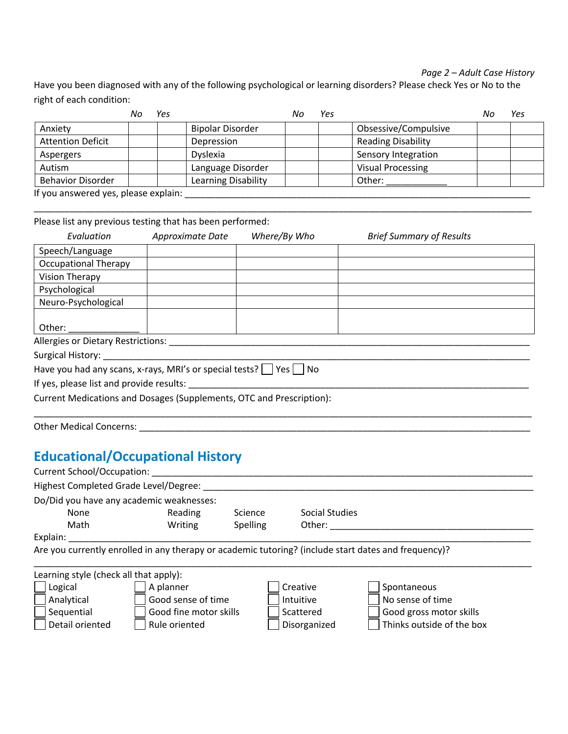#### *Page 2 – Adult Case History*

Have you been diagnosed with any of the following psychological or learning disorders? Please check Yes or No to the right of each condition:

|                                                                                                                                                     | Yes |                         | Νc | Yes |                           | Nc | Yes |
|-----------------------------------------------------------------------------------------------------------------------------------------------------|-----|-------------------------|----|-----|---------------------------|----|-----|
| Anxiety                                                                                                                                             |     | <b>Bipolar Disorder</b> |    |     | Obsessive/Compulsive      |    |     |
| <b>Attention Deficit</b>                                                                                                                            |     | Depression              |    |     | <b>Reading Disability</b> |    |     |
| Aspergers                                                                                                                                           |     | Dyslexia                |    |     | Sensory Integration       |    |     |
| Autism                                                                                                                                              |     | Language Disorder       |    |     | <b>Visual Processing</b>  |    |     |
| <b>Behavior Disorder</b>                                                                                                                            |     | Learning Disability     |    |     | Other:                    |    |     |
| $\mathbf{r}$ and $\mathbf{r}$ are the set of $\mathbf{r}$ and $\mathbf{r}$ are the set of $\mathbf{r}$ and $\mathbf{r}$ are the set of $\mathbf{r}$ |     |                         |    |     |                           |    |     |

\_\_\_\_\_\_\_\_\_\_\_\_\_\_\_\_\_\_\_\_\_\_\_\_\_\_\_\_\_\_\_\_\_\_\_\_\_\_\_\_\_\_\_\_\_\_\_\_\_\_\_\_\_\_\_\_\_\_\_\_\_\_\_\_\_\_\_\_\_\_\_\_\_\_\_\_\_\_\_\_\_\_\_\_\_\_\_\_\_\_\_\_\_\_\_\_\_\_

If you answered yes, please explain: \_\_\_\_\_\_\_\_\_\_\_\_\_\_\_\_\_\_\_\_\_\_\_\_\_\_\_\_\_\_\_\_\_\_\_\_\_\_\_\_\_\_\_\_\_\_\_\_\_\_\_\_\_\_\_\_\_\_\_\_\_\_\_\_\_\_\_\_

Please list any previous testing that has been performed:

| Evaluation                                                                   | Approximate Date | Where/By Who | <b>Brief Summary of Results</b> |
|------------------------------------------------------------------------------|------------------|--------------|---------------------------------|
| Speech/Language                                                              |                  |              |                                 |
| <b>Occupational Therapy</b>                                                  |                  |              |                                 |
| Vision Therapy                                                               |                  |              |                                 |
| Psychological                                                                |                  |              |                                 |
| Neuro-Psychological                                                          |                  |              |                                 |
|                                                                              |                  |              |                                 |
| Other:                                                                       |                  |              |                                 |
| <b>Allergies or Dietary Restrictions:</b>                                    |                  |              |                                 |
| Surgical History: _____                                                      |                  |              |                                 |
| Have you had any scans, x-rays, MRI's or special tests? $\Box$ Yes $\Box$ No |                  |              |                                 |
| If yes, please list and provide results:                                     |                  |              |                                 |
| Current Medications and Dosages (Supplements, OTC and Prescription):         |                  |              |                                 |

\_\_\_\_\_\_\_\_\_\_\_\_\_\_\_\_\_\_\_\_\_\_\_\_\_\_\_\_\_\_\_\_\_\_\_\_\_\_\_\_\_\_\_\_\_\_\_\_\_\_\_\_\_\_\_\_\_\_\_\_\_\_\_\_\_\_\_\_\_\_\_\_\_\_\_\_\_\_\_\_\_\_\_\_\_\_\_\_\_\_\_\_\_\_\_\_\_\_

Other Medical Concerns: \_\_\_\_\_\_\_\_\_\_\_\_\_\_\_\_\_\_\_\_\_\_\_\_\_\_\_\_\_\_\_\_\_\_\_\_\_\_\_\_\_\_\_\_\_\_\_\_\_\_\_\_\_\_\_\_\_\_\_\_\_\_\_\_\_\_\_\_\_\_\_\_\_\_\_\_\_

# **Educational/Occupational History**

| <b>Current School/Occupation:</b>                                                                                                                         |                |          |                                                                                                      |
|-----------------------------------------------------------------------------------------------------------------------------------------------------------|----------------|----------|------------------------------------------------------------------------------------------------------|
| Highest Completed Grade Level/Degree:                                                                                                                     |                |          |                                                                                                      |
| Do/Did you have any academic weaknesses:                                                                                                                  |                |          |                                                                                                      |
| None                                                                                                                                                      | Reading        | Science  | Social Studies                                                                                       |
| Math                                                                                                                                                      | Writing        | Spelling | Other:                                                                                               |
| Explain:                                                                                                                                                  |                |          |                                                                                                      |
|                                                                                                                                                           |                |          | Are you currently enrolled in any therapy or academic tutoring? (include start dates and frequency)? |
|                                                                                                                                                           |                |          |                                                                                                      |
| Learning style (check all that apply):<br>the contract of the contract of the contract of the contract of the contract of the contract of the contract of | $\blacksquare$ |          |                                                                                                      |

| ECUTTING Style forleen un triut upply to |                        |              |                           |  |
|------------------------------------------|------------------------|--------------|---------------------------|--|
| Logical                                  | A planner              | Creative     | Spontaneous               |  |
| Analytical                               | Good sense of time     | Intuitive    | No sense of time          |  |
| Sequential                               | Good fine motor skills | Scattered    | Good gross motor skills   |  |
| Detail oriented                          | Rule oriented          | Disorganized | Thinks outside of the box |  |
|                                          |                        |              |                           |  |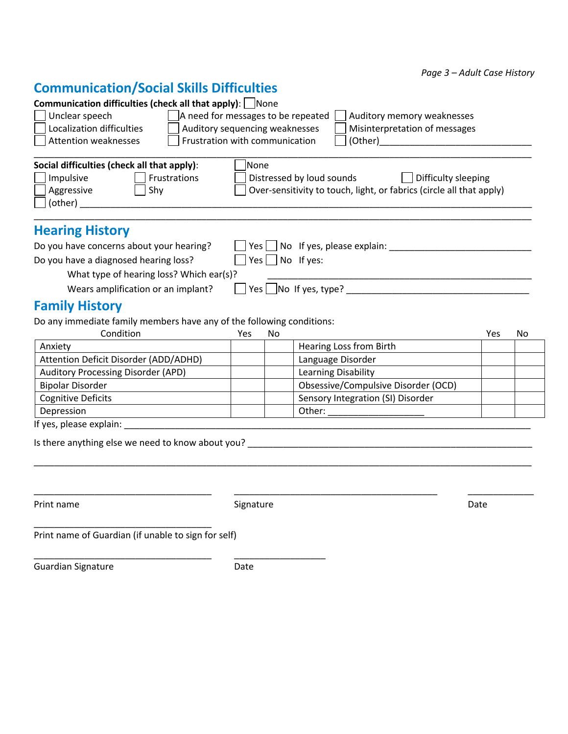*Page 3 – Adult Case History*

## **Communication/Social Skills Difficulties**

| <b>Communication difficulties (check all that apply):</b> None      |                                                                                                                                                                                  |
|---------------------------------------------------------------------|----------------------------------------------------------------------------------------------------------------------------------------------------------------------------------|
| Unclear speech<br>Localization difficulties<br>Attention weaknesses | A need for messages to be repeated<br>Auditory memory weaknesses<br>Auditory sequencing weaknesses<br>Misinterpretation of messages<br>Frustration with communication<br>(Other) |
| Social difficulties (check all that apply):                         | <b>None</b>                                                                                                                                                                      |
| Impulsive<br>Frustrations<br>Aggressive<br>Shy<br>(other)           | Distressed by loud sounds<br>Difficulty sleeping<br>Over-sensitivity to touch, light, or fabrics (circle all that apply)                                                         |
| <b>Hearing History</b>                                              |                                                                                                                                                                                  |
| Do you have concerns about your hearing?                            | Yes $\vert$ No If yes, please explain:                                                                                                                                           |
| Do you have a diagnosed hearing loss?                               | No If yes:<br>Yes l                                                                                                                                                              |
| What type of hearing loss? Which ear(s)?                            |                                                                                                                                                                                  |
| Wears amplification or an implant?                                  | Yes $\Box$ No If yes, type?                                                                                                                                                      |

### **Family History**

Do any immediate family members have any of the following conditions:

| Condition                             | Yes | No |                                     | Yes | No |
|---------------------------------------|-----|----|-------------------------------------|-----|----|
| Anxiety                               |     |    | Hearing Loss from Birth             |     |    |
| Attention Deficit Disorder (ADD/ADHD) |     |    | Language Disorder                   |     |    |
| Auditory Processing Disorder (APD)    |     |    | Learning Disability                 |     |    |
| <b>Bipolar Disorder</b>               |     |    | Obsessive/Compulsive Disorder (OCD) |     |    |
| <b>Cognitive Deficits</b>             |     |    | Sensory Integration (SI) Disorder   |     |    |
| Depression                            |     |    | Other:                              |     |    |

\_\_\_\_\_\_\_\_\_\_\_\_\_\_\_\_\_\_\_\_\_\_\_\_\_\_\_\_\_\_\_\_\_\_\_\_\_\_\_\_\_\_\_\_\_\_\_\_\_\_\_\_\_\_\_\_\_\_\_\_\_\_\_\_\_\_\_\_\_\_\_\_\_\_\_\_\_\_\_\_\_\_\_\_\_\_\_\_\_\_\_\_\_\_\_\_\_\_

\_\_\_\_\_\_\_\_\_\_\_\_\_\_\_\_\_\_\_\_\_\_\_\_\_\_\_\_\_\_\_\_\_\_\_ \_\_\_\_\_\_\_\_\_\_\_\_\_\_\_\_\_\_\_\_\_\_\_\_\_\_\_\_\_\_\_\_\_\_\_\_\_\_\_\_ \_\_\_\_\_\_\_\_\_\_\_\_\_

If yes, please explain: \_\_\_\_\_\_\_\_\_\_\_\_\_\_\_\_\_\_\_\_\_\_\_\_\_\_\_\_\_\_\_\_\_\_\_\_\_\_\_\_\_\_\_\_\_\_\_\_\_\_\_\_\_\_\_\_\_\_\_\_\_\_\_\_\_\_\_\_\_\_\_\_\_\_\_\_\_\_\_\_

Is there anything else we need to know about you? \_\_\_\_\_\_\_\_\_\_\_\_\_\_\_\_\_\_\_\_\_\_\_\_\_\_\_\_\_\_\_\_\_\_\_\_\_\_\_\_\_\_\_\_\_\_\_\_\_\_\_\_\_\_\_\_

Print name and Date Signature Signature Communications of the Date Date

Print name of Guardian (if unable to sign for self)

\_\_\_\_\_\_\_\_\_\_\_\_\_\_\_\_\_\_\_\_\_\_\_\_\_\_\_\_\_\_\_\_\_\_\_ \_\_\_\_\_\_\_\_\_\_\_\_\_\_\_\_\_\_

\_\_\_\_\_\_\_\_\_\_\_\_\_\_\_\_\_\_\_\_\_\_\_\_\_\_\_\_\_\_\_\_\_\_\_

Guardian Signature **Date** Date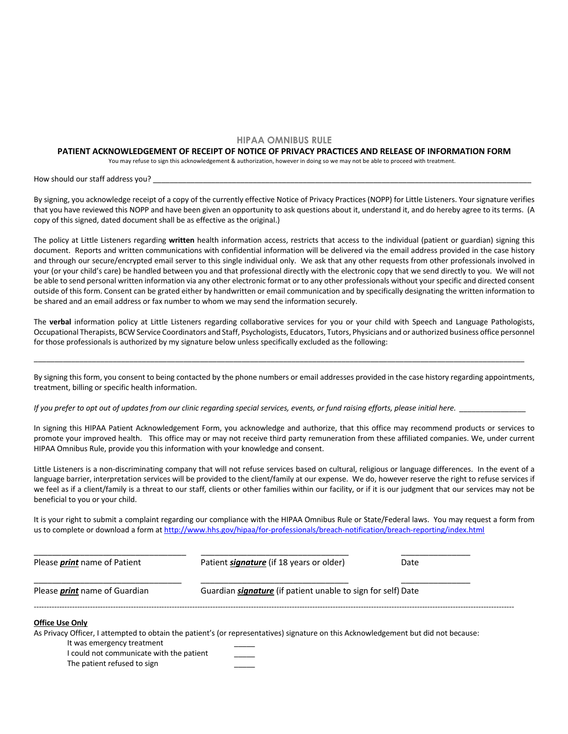#### **HIPAA OMNIBUS RULE**

#### **PATIENT ACKNOWLEDGEMENT OF RECEIPT OF NOTICE OF PRIVACY PRACTICES AND RELEASE OF INFORMATION FORM**

You may refuse to sign this acknowledgement & authorization, however in doing so we may not be able to proceed with treatment.

How should our staff address you? \_\_\_\_\_\_\_\_\_\_\_\_\_\_\_\_\_\_\_\_\_\_\_\_\_\_\_\_\_\_\_\_\_\_\_\_\_\_\_\_\_\_\_\_\_\_\_\_\_\_\_\_\_\_\_\_\_\_\_\_\_\_\_\_\_\_\_\_\_\_\_\_\_\_\_\_\_\_\_\_\_\_\_\_\_\_\_\_\_\_\_

By signing, you acknowledge receipt of a copy of the currently effective Notice of Privacy Practices (NOPP) for Little Listeners. Your signature verifies that you have reviewed this NOPP and have been given an opportunity to ask questions about it, understand it, and do hereby agree to its terms. (A copy of this signed, dated document shall be as effective as the original.)

The policy at Little Listeners regarding **written** health information access, restricts that access to the individual (patient or guardian) signing this document. Reports and written communications with confidential information will be delivered via the email address provided in the case history and through our secure/encrypted email server to this single individual only. We ask that any other requests from other professionals involved in your (or your child's care) be handled between you and that professional directly with the electronic copy that we send directly to you. We will not be able to send personal written information via any other electronic format or to any other professionals without your specific and directed consent outside of this form. Consent can be grated either by handwritten or email communication and by specifically designating the written information to be shared and an email address or fax number to whom we may send the information securely.

The **verbal** information policy at Little Listeners regarding collaborative services for you or your child with Speech and Language Pathologists, Occupational Therapists, BCW Service Coordinators and Staff, Psychologists, Educators, Tutors, Physicians and or authorized business office personnel for those professionals is authorized by my signature below unless specifically excluded as the following:

By signing this form, you consent to being contacted by the phone numbers or email addresses provided in the case history regarding appointments, treatment, billing or specific health information.

\_\_\_\_\_\_\_\_\_\_\_\_\_\_\_\_\_\_\_\_\_\_\_\_\_\_\_\_\_\_\_\_\_\_\_\_\_\_\_\_\_\_\_\_\_\_\_\_\_\_\_\_\_\_\_\_\_\_\_\_\_\_\_\_\_\_\_\_\_\_\_\_\_\_\_\_\_\_\_\_\_\_\_\_\_\_\_\_\_\_\_\_\_\_\_\_\_\_\_\_\_\_\_\_\_\_\_\_\_\_\_\_\_\_\_\_\_\_

*If you prefer to opt out of updates from our clinic regarding special services, events, or fund raising efforts, please initial here.* 

In signing this HIPAA Patient Acknowledgement Form, you acknowledge and authorize, that this office may recommend products or services to promote your improved health. This office may or may not receive third party remuneration from these affiliated companies. We, under current HIPAA Omnibus Rule, provide you this information with your knowledge and consent.

Little Listeners is a non-discriminating company that will not refuse services based on cultural, religious or language differences. In the event of a language barrier, interpretation services will be provided to the client/family at our expense. We do, however reserve the right to refuse services if we feel as if a client/family is a threat to our staff, clients or other families within our facility, or if it is our judgment that our services may not be beneficial to you or your child.

It is your right to submit a complaint regarding our compliance with the HIPAA Omnibus Rule or State/Federal laws. You may request a form from us to complete or download a form at http://www.hhs.gov/hipaa/for-professionals/breach-notification/breach-reporting/index.html

| Please <i>print</i> name of Patient                                                                                                 | Patient <i>signature</i> (if 18 years or older)                     | Date |
|-------------------------------------------------------------------------------------------------------------------------------------|---------------------------------------------------------------------|------|
| Please <i>print</i> name of Guardian                                                                                                | Guardian <i>signature</i> (if patient unable to sign for self) Date |      |
| <b>Office Use Only</b>                                                                                                              |                                                                     |      |
| As Privacy Officer, I attempted to obtain the patient's (or representatives) signature on this Acknowledgement but did not because: |                                                                     |      |